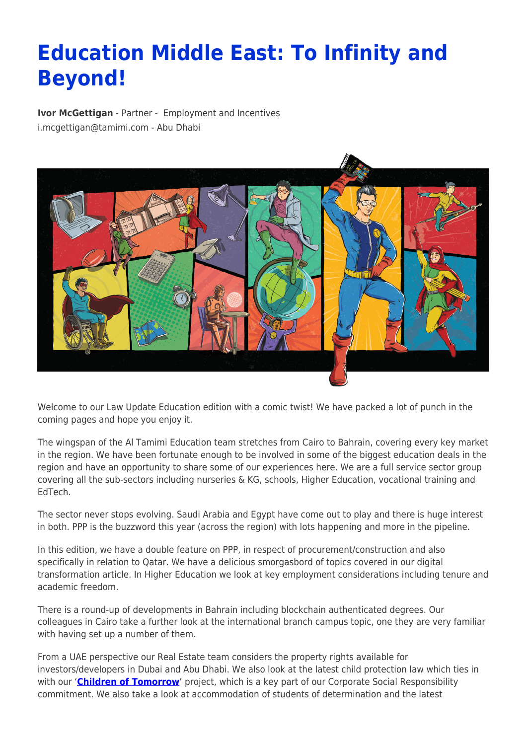## **Education Middle East: To Infinity and Beyond!**

**[Ivor McGettigan](https://www.tamimi.com/find-a-lawyer/ivor-mcgettigan/)** - Partner - [Employment and Incentives](https://www.tamimi.com/client-services/practices/employment-incentives/) [i.mcgettigan@tamimi.com](mailto:i.mcgettigan@tamimi.com) - [Abu Dhabi](https://www.tamimi.com/locations/uae/)



Welcome to our Law Update Education edition with a comic twist! We have packed a lot of punch in the coming pages and hope you enjoy it.

The wingspan of the Al Tamimi Education team stretches from Cairo to Bahrain, covering every key market in the region. We have been fortunate enough to be involved in some of the biggest education deals in the region and have an opportunity to share some of our experiences here. We are a full service sector group covering all the sub-sectors including nurseries & KG, schools, Higher Education, vocational training and EdTech.

The sector never stops evolving. Saudi Arabia and Egypt have come out to play and there is huge interest in both. PPP is the buzzword this year (across the region) with lots happening and more in the pipeline.

In this edition, we have a double feature on PPP, in respect of procurement/construction and also specifically in relation to Qatar. We have a delicious smorgasbord of topics covered in our digital transformation article. In Higher Education we look at key employment considerations including tenure and academic freedom.

There is a round-up of developments in Bahrain including blockchain authenticated degrees. Our colleagues in Cairo take a further look at the international branch campus topic, one they are very familiar with having set up a number of them.

From a UAE perspective our Real Estate team considers the property rights available for investors/developers in Dubai and Abu Dhabi. We also look at the latest child protection law which ties in with our '**[Children of Tomorrow](https://www.tamimi.com/about-us/csr/)**' project, which is a key part of our Corporate Social Responsibility commitment. We also take a look at accommodation of students of determination and the latest